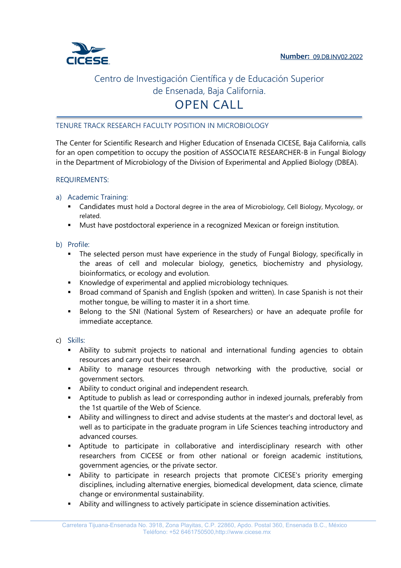

### TENURE TRACK RESEARCH FACULTY POSITION IN MICROBIOLOGY

The Center for Scientific Research and Higher Education of Ensenada CICESE, Baja California, calls for an open competition to occupy the position of ASSOCIATE RESEARCHER-B in Fungal Biology in the Department of Microbiology of the Division of Experimental and Applied Biology (DBEA).

### REQUIREMENTS:

- a) Academic Training:
	- Candidates must hold a Doctoral degree in the area of Microbiology, Cell Biology, Mycology, or related.
	- Must have postdoctoral experience in a recognized Mexican or foreign institution.
- b) Profile:
	- The selected person must have experience in the study of Fungal Biology, specifically in the areas of cell and molecular biology, genetics, biochemistry and physiology, bioinformatics, or ecology and evolution.
	- Knowledge of experimental and applied microbiology techniques.
	- Broad command of Spanish and English (spoken and written). In case Spanish is not their mother tongue, be willing to master it in a short time.
	- Belong to the SNI (National System of Researchers) or have an adequate profile for immediate acceptance.
- c) Skills:
	- Ability to submit projects to national and international funding agencies to obtain resources and carry out their research.
	- Ability to manage resources through networking with the productive, social or government sectors.
	- Ability to conduct original and independent research.
	- Aptitude to publish as lead or corresponding author in indexed journals, preferably from the 1st quartile of the Web of Science.
	- Ability and willingness to direct and advise students at the master's and doctoral level, as well as to participate in the graduate program in Life Sciences teaching introductory and advanced courses.
	- Aptitude to participate in collaborative and interdisciplinary research with other researchers from CICESE or from other national or foreign academic institutions, government agencies, or the private sector.
	- Ability to participate in research projects that promote CICESE's priority emerging disciplines, including alternative energies, biomedical development, data science, climate change or environmental sustainability.
	- Ability and willingness to actively participate in science dissemination activities.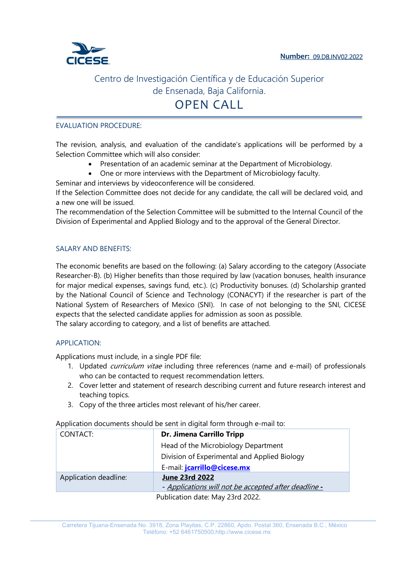

### EVALUATION PROCEDURE:

The revision, analysis, and evaluation of the candidate's applications will be performed by a Selection Committee which will also consider:

- Presentation of an academic seminar at the Department of Microbiology.
- One or more interviews with the Department of Microbiology faculty.

Seminar and interviews by videoconference will be considered.

If the Selection Committee does not decide for any candidate, the call will be declared void, and a new one will be issued.

The recommendation of the Selection Committee will be submitted to the Internal Council of the Division of Experimental and Applied Biology and to the approval of the General Director.

#### SALARY AND BENEFITS:

The economic benefits are based on the following: (a) Salary according to the category (Associate Researcher-B). (b) Higher benefits than those required by law (vacation bonuses, health insurance for major medical expenses, savings fund, etc.). (c) Productivity bonuses. (d) Scholarship granted by the National Council of Science and Technology (CONACYT) if the researcher is part of the National System of Researchers of Mexico (SNI). In case of not belonging to the SNI, CICESE expects that the selected candidate applies for admission as soon as possible. The salary according to category, and a list of benefits are attached.

### APPLICATION:

Applications must include, in a single PDF file:

- 1. Updated *curriculum vitae* including three references (name and e-mail) of professionals who can be contacted to request recommendation letters.
- 2. Cover letter and statement of research describing current and future research interest and teaching topics.
- 3. Copy of the three articles most relevant of his/her career.

Application documents should be sent in digital form through e-mail to:

| CONTACT:              | <b>Dr. Jimena Carrillo Tripp</b>                     |  |
|-----------------------|------------------------------------------------------|--|
|                       | Head of the Microbiology Department                  |  |
|                       | Division of Experimental and Applied Biology         |  |
|                       | E-mail: jcarrillo@cicese.mx                          |  |
| Application deadline: | <b>June 23rd 2022</b>                                |  |
|                       | - Applications will not be accepted after deadline - |  |
|                       | Publication date: May 23rd 2022.                     |  |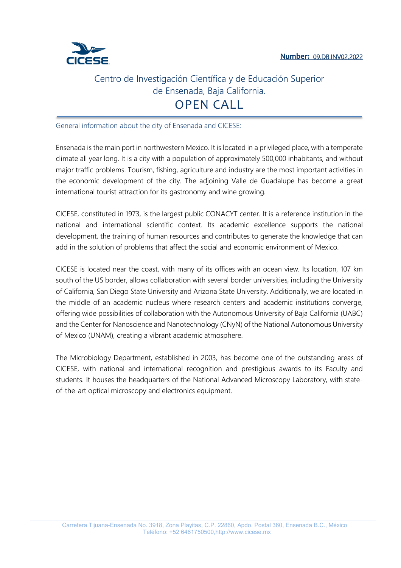

General information about the city of Ensenada and CICESE:

Ensenada is the main port in northwestern Mexico. It is located in a privileged place, with a temperate climate all year long. It is a city with a population of approximately 500,000 inhabitants, and without major traffic problems. Tourism, fishing, agriculture and industry are the most important activities in the economic development of the city. The adjoining Valle de Guadalupe has become a great international tourist attraction for its gastronomy and wine growing.

CICESE, constituted in 1973, is the largest public CONACYT center. It is a reference institution in the national and international scientific context. Its academic excellence supports the national development, the training of human resources and contributes to generate the knowledge that can add in the solution of problems that affect the social and economic environment of Mexico.

CICESE is located near the coast, with many of its offices with an ocean view. Its location, 107 km south of the US border, allows collaboration with several border universities, including the University of California, San Diego State University and Arizona State University. Additionally, we are located in the middle of an academic nucleus where research centers and academic institutions converge, offering wide possibilities of collaboration with the Autonomous University of Baja California (UABC) and the Center for Nanoscience and Nanotechnology (CNyN) of the National Autonomous University of Mexico (UNAM), creating a vibrant academic atmosphere.

The Microbiology Department, established in 2003, has become one of the outstanding areas of CICESE, with national and international recognition and prestigious awards to its Faculty and students. It houses the headquarters of the National Advanced Microscopy Laboratory, with stateof-the-art optical microscopy and electronics equipment.